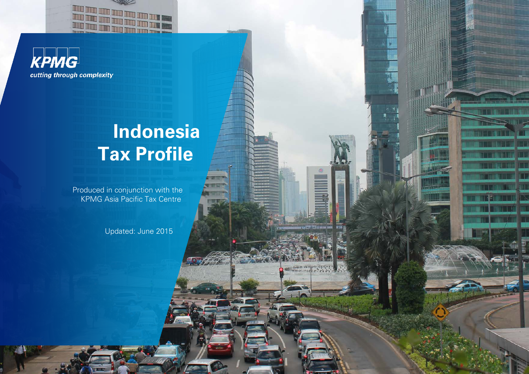



# **Indonesia Tax Profile**

**Thursday 22** 

世間

Produced in conjunction with the KPMG Asia Pacific Tax Centre

Updated: June 2015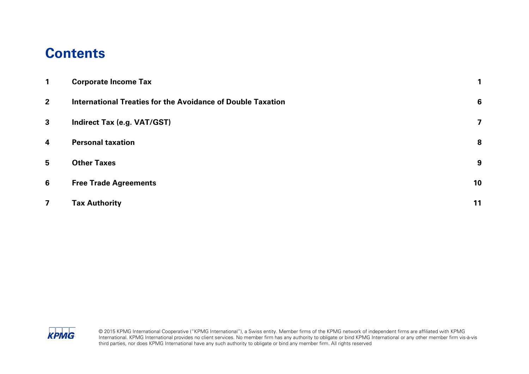### **Contents**

| 1                       | <b>Corporate Income Tax</b>                                        |    |
|-------------------------|--------------------------------------------------------------------|----|
| $\overline{2}$          | <b>International Treaties for the Avoidance of Double Taxation</b> | 6  |
| $\mathbf{3}$            | <b>Indirect Tax (e.g. VAT/GST)</b>                                 | 7  |
| $\overline{\mathbf{4}}$ | <b>Personal taxation</b>                                           | 8  |
| 5                       | <b>Other Taxes</b>                                                 | 9  |
| 6                       | <b>Free Trade Agreements</b>                                       | 10 |
| $\overline{\mathbf{z}}$ | <b>Tax Authority</b>                                               | 11 |

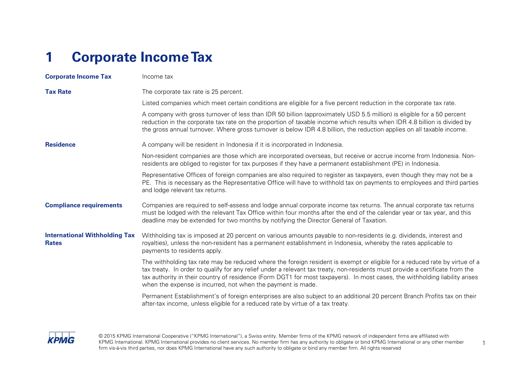## <span id="page-2-0"></span>**1 Corporate Income Tax**

| <b>Corporate Income Tax</b>                          | Income tax                                                                                                                                                                                                                                                                                                                                                                                                                                                |
|------------------------------------------------------|-----------------------------------------------------------------------------------------------------------------------------------------------------------------------------------------------------------------------------------------------------------------------------------------------------------------------------------------------------------------------------------------------------------------------------------------------------------|
| <b>Tax Rate</b>                                      | The corporate tax rate is 25 percent.                                                                                                                                                                                                                                                                                                                                                                                                                     |
|                                                      | Listed companies which meet certain conditions are eligible for a five percent reduction in the corporate tax rate.                                                                                                                                                                                                                                                                                                                                       |
|                                                      | A company with gross turnover of less than IDR 50 billion (approximately USD 5.5 million) is eligible for a 50 percent<br>reduction in the corporate tax rate on the proportion of taxable income which results when IDR 4.8 billion is divided by<br>the gross annual turnover. Where gross turnover is below IDR 4.8 billion, the reduction applies on all taxable income.                                                                              |
| <b>Residence</b>                                     | A company will be resident in Indonesia if it is incorporated in Indonesia.                                                                                                                                                                                                                                                                                                                                                                               |
|                                                      | Non-resident companies are those which are incorporated overseas, but receive or accrue income from Indonesia. Non-<br>residents are obliged to register for tax purposes if they have a permanent establishment (PE) in Indonesia.                                                                                                                                                                                                                       |
|                                                      | Representative Offices of foreign companies are also required to register as taxpayers, even though they may not be a<br>PE. This is necessary as the Representative Office will have to withhold tax on payments to employees and third parties<br>and lodge relevant tax returns.                                                                                                                                                                       |
| <b>Compliance requirements</b>                       | Companies are required to self-assess and lodge annual corporate income tax returns. The annual corporate tax returns<br>must be lodged with the relevant Tax Office within four months after the end of the calendar year or tax year, and this<br>deadline may be extended for two months by notifying the Director General of Taxation.                                                                                                                |
| <b>International Withholding Tax</b><br><b>Rates</b> | Withholding tax is imposed at 20 percent on various amounts payable to non-residents (e.g. dividends, interest and<br>royalties), unless the non-resident has a permanent establishment in Indonesia, whereby the rates applicable to<br>payments to residents apply.                                                                                                                                                                                     |
|                                                      | The withholding tax rate may be reduced where the foreign resident is exempt or eligible for a reduced rate by virtue of a<br>tax treaty. In order to qualify for any relief under a relevant tax treaty, non-residents must provide a certificate from the<br>tax authority in their country of residence (Form DGT1 for most taxpayers). In most cases, the withholding liability arises<br>when the expense is incurred, not when the payment is made. |
|                                                      | Permanent Establishment's of foreign enterprises are also subject to an additional 20 percent Branch Profits tax on their<br>after-tax income, unless eligible for a reduced rate by virtue of a tax treaty.                                                                                                                                                                                                                                              |

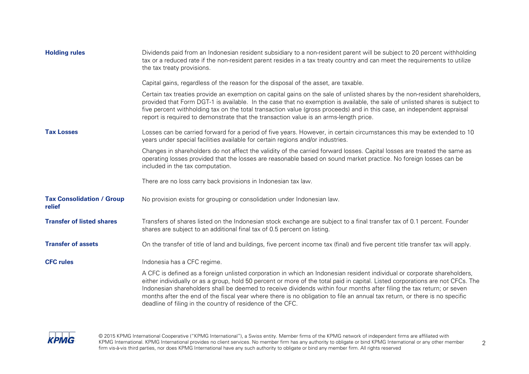| <b>Holding rules</b>                       | Dividends paid from an Indonesian resident subsidiary to a non-resident parent will be subject to 20 percent withholding<br>tax or a reduced rate if the non-resident parent resides in a tax treaty country and can meet the requirements to utilize<br>the tax treaty provisions.                                                                                                                                                                                                                                                                                             |
|--------------------------------------------|---------------------------------------------------------------------------------------------------------------------------------------------------------------------------------------------------------------------------------------------------------------------------------------------------------------------------------------------------------------------------------------------------------------------------------------------------------------------------------------------------------------------------------------------------------------------------------|
|                                            | Capital gains, regardless of the reason for the disposal of the asset, are taxable.                                                                                                                                                                                                                                                                                                                                                                                                                                                                                             |
|                                            | Certain tax treaties provide an exemption on capital gains on the sale of unlisted shares by the non-resident shareholders,<br>provided that Form DGT-1 is available. In the case that no exemption is available, the sale of unlisted shares is subject to<br>five percent withholding tax on the total transaction value (gross proceeds) and in this case, an independent appraisal<br>report is required to demonstrate that the transaction value is an arms-length price.                                                                                                 |
| <b>Tax Losses</b>                          | Losses can be carried forward for a period of five years. However, in certain circumstances this may be extended to 10<br>years under special facilities available for certain regions and/or industries.                                                                                                                                                                                                                                                                                                                                                                       |
|                                            | Changes in shareholders do not affect the validity of the carried forward losses. Capital losses are treated the same as<br>operating losses provided that the losses are reasonable based on sound market practice. No foreign losses can be<br>included in the tax computation.                                                                                                                                                                                                                                                                                               |
|                                            | There are no loss carry back provisions in Indonesian tax law.                                                                                                                                                                                                                                                                                                                                                                                                                                                                                                                  |
| <b>Tax Consolidation / Group</b><br>relief | No provision exists for grouping or consolidation under Indonesian law.                                                                                                                                                                                                                                                                                                                                                                                                                                                                                                         |
| <b>Transfer of listed shares</b>           | Transfers of shares listed on the Indonesian stock exchange are subject to a final transfer tax of 0.1 percent. Founder<br>shares are subject to an additional final tax of 0.5 percent on listing.                                                                                                                                                                                                                                                                                                                                                                             |
| <b>Transfer of assets</b>                  | On the transfer of title of land and buildings, five percent income tax (final) and five percent title transfer tax will apply.                                                                                                                                                                                                                                                                                                                                                                                                                                                 |
| <b>CFC rules</b>                           | Indonesia has a CFC regime.                                                                                                                                                                                                                                                                                                                                                                                                                                                                                                                                                     |
|                                            | A CFC is defined as a foreign unlisted corporation in which an Indonesian resident individual or corporate shareholders,<br>either individually or as a group, hold 50 percent or more of the total paid in capital. Listed corporations are not CFCs. The<br>Indonesian shareholders shall be deemed to receive dividends within four months after filing the tax return; or seven<br>months after the end of the fiscal year where there is no obligation to file an annual tax return, or there is no specific<br>deadline of filing in the country of residence of the CFC. |

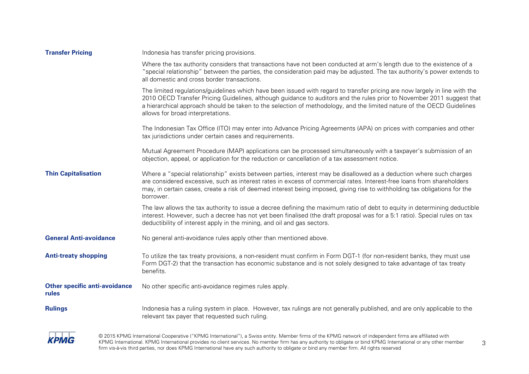| <b>Transfer Pricing</b>                       | Indonesia has transfer pricing provisions.                                                                                                                                                                                                                                                                                                                                                                          |
|-----------------------------------------------|---------------------------------------------------------------------------------------------------------------------------------------------------------------------------------------------------------------------------------------------------------------------------------------------------------------------------------------------------------------------------------------------------------------------|
|                                               | Where the tax authority considers that transactions have not been conducted at arm's length due to the existence of a<br>"special relationship" between the parties, the consideration paid may be adjusted. The tax authority's power extends to<br>all domestic and cross border transactions.                                                                                                                    |
|                                               | The limited regulations/guidelines which have been issued with regard to transfer pricing are now largely in line with the<br>2010 OECD Transfer Pricing Guidelines, although guidance to auditors and the rules prior to November 2011 suggest that<br>a hierarchical approach should be taken to the selection of methodology, and the limited nature of the OECD Guidelines<br>allows for broad interpretations. |
|                                               | The Indonesian Tax Office (ITO) may enter into Advance Pricing Agreements (APA) on prices with companies and other<br>tax jurisdictions under certain cases and requirements.                                                                                                                                                                                                                                       |
|                                               | Mutual Agreement Procedure (MAP) applications can be processed simultaneously with a taxpayer's submission of an<br>objection, appeal, or application for the reduction or cancellation of a tax assessment notice.                                                                                                                                                                                                 |
| <b>Thin Capitalisation</b>                    | Where a "special relationship" exists between parties, interest may be disallowed as a deduction where such charges<br>are considered excessive, such as interest rates in excess of commercial rates. Interest-free loans from shareholders<br>may, in certain cases, create a risk of deemed interest being imposed, giving rise to withholding tax obligations for the<br>borrower.                              |
|                                               | The law allows the tax authority to issue a decree defining the maximum ratio of debt to equity in determining deductible<br>interest. However, such a decree has not yet been finalised (the draft proposal was for a 5:1 ratio). Special rules on tax<br>deductibility of interest apply in the mining, and oil and gas sectors.                                                                                  |
| <b>General Anti-avoidance</b>                 | No general anti-avoidance rules apply other than mentioned above.                                                                                                                                                                                                                                                                                                                                                   |
| <b>Anti-treaty shopping</b>                   | To utilize the tax treaty provisions, a non-resident must confirm in Form DGT-1 (for non-resident banks, they must use<br>Form DGT-2) that the transaction has economic substance and is not solely designed to take advantage of tax treaty<br>benefits.                                                                                                                                                           |
| <b>Other specific anti-avoidance</b><br>rules | No other specific anti-avoidance regimes rules apply.                                                                                                                                                                                                                                                                                                                                                               |
| <b>Rulings</b>                                | Indonesia has a ruling system in place. However, tax rulings are not generally published, and are only applicable to the<br>relevant tax payer that requested such ruling.                                                                                                                                                                                                                                          |

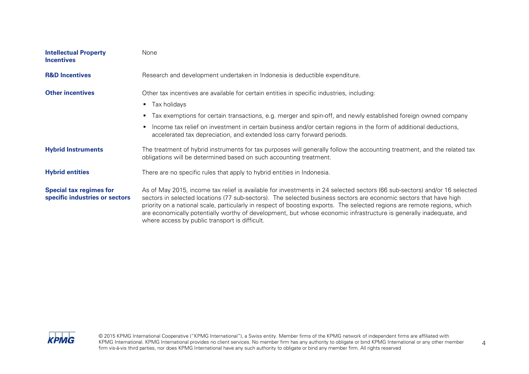| <b>Intellectual Property</b><br><b>Incentives</b>                | None                                                                                                                                                                                                                                                                                                                                                                                                                                                                                                                                                |
|------------------------------------------------------------------|-----------------------------------------------------------------------------------------------------------------------------------------------------------------------------------------------------------------------------------------------------------------------------------------------------------------------------------------------------------------------------------------------------------------------------------------------------------------------------------------------------------------------------------------------------|
| <b>R&amp;D Incentives</b>                                        | Research and development undertaken in Indonesia is deductible expenditure.                                                                                                                                                                                                                                                                                                                                                                                                                                                                         |
| <b>Other incentives</b>                                          | Other tax incentives are available for certain entities in specific industries, including:                                                                                                                                                                                                                                                                                                                                                                                                                                                          |
|                                                                  | $\blacksquare$ Tax holidays                                                                                                                                                                                                                                                                                                                                                                                                                                                                                                                         |
|                                                                  | Tax exemptions for certain transactions, e.g. merger and spin-off, and newly established foreign owned company<br>п.                                                                                                                                                                                                                                                                                                                                                                                                                                |
|                                                                  | Income tax relief on investment in certain business and/or certain regions in the form of additional deductions,<br>$\blacksquare$<br>accelerated tax depreciation, and extended loss carry forward periods.                                                                                                                                                                                                                                                                                                                                        |
| <b>Hybrid Instruments</b>                                        | The treatment of hybrid instruments for tax purposes will generally follow the accounting treatment, and the related tax<br>obligations will be determined based on such accounting treatment.                                                                                                                                                                                                                                                                                                                                                      |
| <b>Hybrid entities</b>                                           | There are no specific rules that apply to hybrid entities in Indonesia.                                                                                                                                                                                                                                                                                                                                                                                                                                                                             |
| <b>Special tax regimes for</b><br>specific industries or sectors | As of May 2015, income tax relief is available for investments in 24 selected sectors (66 sub-sectors) and/or 16 selected<br>sectors in selected locations (77 sub-sectors). The selected business sectors are economic sectors that have high<br>priority on a national scale, particularly in respect of boosting exports. The selected regions are remote regions, which<br>are economically potentially worthy of development, but whose economic infrastructure is generally inadequate, and<br>where access by public transport is difficult. |

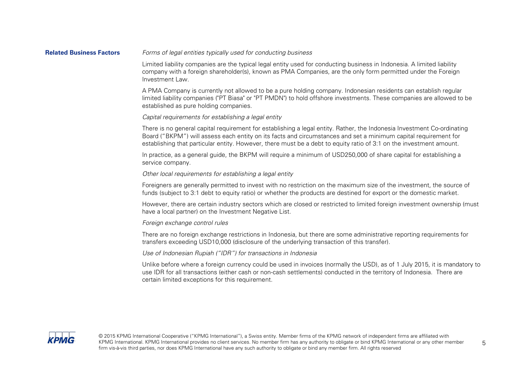#### **Related Business Factors** Forms of legal entities typically used for conducting business

Limited liability companies are the typical legal entity used for conducting business in Indonesia. A limited liability company with a foreign shareholder(s), known as PMA Companies, are the only form permitted under the Foreign Investment Law.

A PMA Company is currently not allowed to be a pure holding company. Indonesian residents can establish regular limited liability companies ("PT Biasa" or "PT PMDN") to hold offshore investments. These companies are allowed to be established as pure holding companies.

#### Capital requirements for establishing a legal entity

There is no general capital requirement for establishing a legal entity. Rather, the Indonesia Investment Co-ordinating Board ("BKPM") will assess each entity on its facts and circumstances and set a minimum capital requirement for establishing that particular entity. However, there must be a debt to equity ratio of 3:1 on the investment amount.

In practice, as a general guide, the BKPM will require a minimum of USD250,000 of share capital for establishing a service company.

#### Other local requirements for establishing a legal entity

Foreigners are generally permitted to invest with no restriction on the maximum size of the investment, the source of funds (subject to 3:1 debt to equity ratio) or whether the products are destined for export or the domestic market.

However, there are certain industry sectors which are closed or restricted to limited foreign investment ownership (must have a local partner) on the Investment Negative List.

#### Foreign exchange control rules

There are no foreign exchange restrictions in Indonesia, but there are some administrative reporting requirements for transfers exceeding USD10,000 (disclosure of the underlying transaction of this transfer).

#### Use of Indonesian Rupiah ("IDR") for transactions in Indonesia

Unlike before where a foreign currency could be used in invoices (normally the USD), as of 1 July 2015, it is mandatory to use IDR for all transactions (either cash or non-cash settlements) conducted in the territory of Indonesia. There are certain limited exceptions for this requirement.

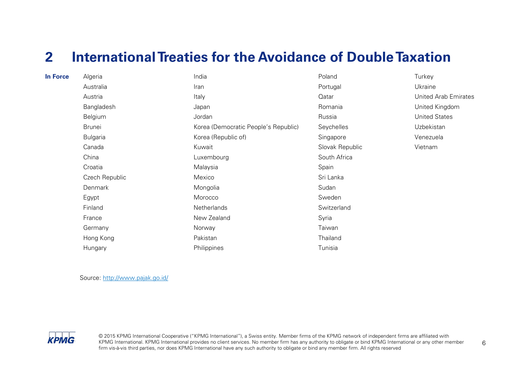### <span id="page-7-0"></span>**2 International Treaties for the Avoidance of Double Taxation**

| <b>In Force</b> | Algeria         | India                                | Poland          | Turkey               |
|-----------------|-----------------|--------------------------------------|-----------------|----------------------|
|                 | Australia       | Iran                                 | Portugal        | Ukraine              |
|                 | Austria         | Italy                                | Qatar           | United Arab E        |
|                 | Bangladesh      | Japan                                | Romania         | United Kingdo        |
|                 | Belgium         | Jordan                               | Russia          | <b>United States</b> |
|                 | <b>Brunei</b>   | Korea (Democratic People's Republic) | Seychelles      | Uzbekistan           |
|                 | <b>Bulgaria</b> | Korea (Republic of)                  | Singapore       | Venezuela            |
|                 | Canada          | Kuwait                               | Slovak Republic | Vietnam              |
|                 | China           | Luxembourg                           | South Africa    |                      |
|                 | Croatia         | Malaysia                             | Spain           |                      |
|                 | Czech Republic  | Mexico                               | Sri Lanka       |                      |
|                 | Denmark         | Mongolia                             | Sudan           |                      |
|                 | Egypt           | Morocco                              | Sweden          |                      |
|                 | Finland         | Netherlands                          | Switzerland     |                      |
|                 | France          | New Zealand                          | Syria           |                      |
|                 | Germany         | Norway                               | Taiwan          |                      |
|                 | Hong Kong       | Pakistan                             | Thailand        |                      |
|                 | Hungary         | Philippines                          | Tunisia         |                      |

**United Arab Emirates United Kingdom** 

Source:<http://www.pajak.go.id/>

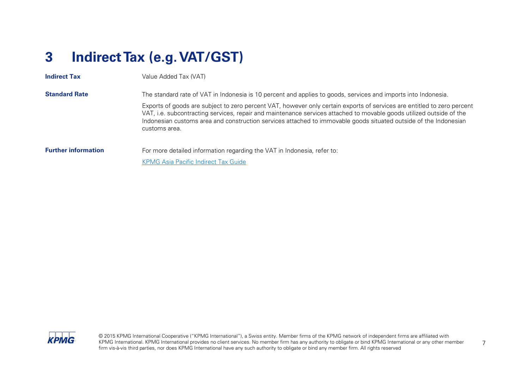## <span id="page-8-0"></span>**3 Indirect Tax (e.g. VAT/GST)**

| <b>Indirect Tax</b>        | Value Added Tax (VAT)                                                                                                                                                                                                                                                                                                                                                                |
|----------------------------|--------------------------------------------------------------------------------------------------------------------------------------------------------------------------------------------------------------------------------------------------------------------------------------------------------------------------------------------------------------------------------------|
| <b>Standard Rate</b>       | The standard rate of VAT in Indonesia is 10 percent and applies to goods, services and imports into Indonesia.                                                                                                                                                                                                                                                                       |
|                            | Exports of goods are subject to zero percent VAT, however only certain exports of services are entitled to zero percent<br>VAT, i.e. subcontracting services, repair and maintenance services attached to movable goods utilized outside of the<br>Indonesian customs area and construction services attached to immovable goods situated outside of the Indonesian<br>customs area. |
| <b>Further information</b> | For more detailed information regarding the VAT in Indonesia, refer to:                                                                                                                                                                                                                                                                                                              |
|                            | <b>KPMG Asia Pacific Indirect Tax Guide</b>                                                                                                                                                                                                                                                                                                                                          |

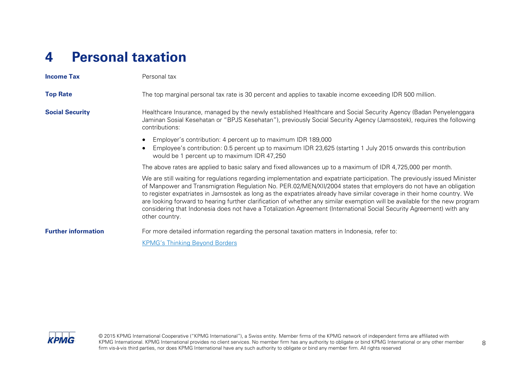### <span id="page-9-0"></span>**4 Personal taxation**

| <b>Income Tax</b>          | Personal tax                                                                                                                                                                                                                                                                                                                                                                                                                                                                                                                                                                                                                                        |
|----------------------------|-----------------------------------------------------------------------------------------------------------------------------------------------------------------------------------------------------------------------------------------------------------------------------------------------------------------------------------------------------------------------------------------------------------------------------------------------------------------------------------------------------------------------------------------------------------------------------------------------------------------------------------------------------|
| <b>Top Rate</b>            | The top marginal personal tax rate is 30 percent and applies to taxable income exceeding IDR 500 million.                                                                                                                                                                                                                                                                                                                                                                                                                                                                                                                                           |
| <b>Social Security</b>     | Healthcare Insurance, managed by the newly established Healthcare and Social Security Agency (Badan Penyelenggara<br>Jaminan Sosial Kesehatan or "BPJS Kesehatan"), previously Social Security Agency (Jamsostek), requires the following<br>contributions:                                                                                                                                                                                                                                                                                                                                                                                         |
|                            | Employer's contribution: 4 percent up to maximum IDR 189,000<br>Employee's contribution: 0.5 percent up to maximum IDR 23,625 (starting 1 July 2015 onwards this contribution<br>would be 1 percent up to maximum IDR 47,250                                                                                                                                                                                                                                                                                                                                                                                                                        |
|                            | The above rates are applied to basic salary and fixed allowances up to a maximum of IDR 4,725,000 per month.                                                                                                                                                                                                                                                                                                                                                                                                                                                                                                                                        |
|                            | We are still waiting for regulations regarding implementation and expatriate participation. The previously issued Minister<br>of Manpower and Transmigration Regulation No. PER.02/MEN/XII/2004 states that employers do not have an obligation<br>to register expatriates in Jamsostek as long as the expatriates already have similar coverage in their home country. We<br>are looking forward to hearing further clarification of whether any similar exemption will be available for the new program<br>considering that Indonesia does not have a Totalization Agreement (International Social Security Agreement) with any<br>other country. |
| <b>Further information</b> | For more detailed information regarding the personal taxation matters in Indonesia, refer to:                                                                                                                                                                                                                                                                                                                                                                                                                                                                                                                                                       |
|                            | <b>KPMG's Thinking Beyond Borders</b>                                                                                                                                                                                                                                                                                                                                                                                                                                                                                                                                                                                                               |

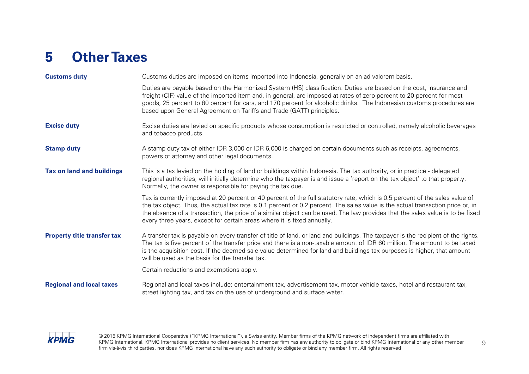## <span id="page-10-0"></span>**5 Other Taxes**

| <b>Customs duty</b>                | Customs duties are imposed on items imported into Indonesia, generally on an ad valorem basis.                                                                                                                                                                                                                                                                                                                                                                             |
|------------------------------------|----------------------------------------------------------------------------------------------------------------------------------------------------------------------------------------------------------------------------------------------------------------------------------------------------------------------------------------------------------------------------------------------------------------------------------------------------------------------------|
|                                    | Duties are payable based on the Harmonized System (HS) classification. Duties are based on the cost, insurance and<br>freight (CIF) value of the imported item and, in general, are imposed at rates of zero percent to 20 percent for most<br>goods, 25 percent to 80 percent for cars, and 170 percent for alcoholic drinks. The Indonesian customs procedures are<br>based upon General Agreement on Tariffs and Trade (GATT) principles.                               |
| <b>Excise duty</b>                 | Excise duties are levied on specific products whose consumption is restricted or controlled, namely alcoholic beverages<br>and tobacco products.                                                                                                                                                                                                                                                                                                                           |
| <b>Stamp duty</b>                  | A stamp duty tax of either IDR 3,000 or IDR 6,000 is charged on certain documents such as receipts, agreements,<br>powers of attorney and other legal documents.                                                                                                                                                                                                                                                                                                           |
| <b>Tax on land and buildings</b>   | This is a tax levied on the holding of land or buildings within Indonesia. The tax authority, or in practice - delegated<br>regional authorities, will initially determine who the taxpayer is and issue a 'report on the tax object' to that property.<br>Normally, the owner is responsible for paying the tax due.                                                                                                                                                      |
|                                    | Tax is currently imposed at 20 percent or 40 percent of the full statutory rate, which is 0.5 percent of the sales value of<br>the tax object. Thus, the actual tax rate is 0.1 percent or 0.2 percent. The sales value is the actual transaction price or, in<br>the absence of a transaction, the price of a similar object can be used. The law provides that the sales value is to be fixed<br>every three years, except for certain areas where it is fixed annually. |
| <b>Property title transfer tax</b> | A transfer tax is payable on every transfer of title of land, or land and buildings. The taxpayer is the recipient of the rights.<br>The tax is five percent of the transfer price and there is a non-taxable amount of IDR 60 million. The amount to be taxed<br>is the acquisition cost. If the deemed sale value determined for land and buildings tax purposes is higher, that amount<br>will be used as the basis for the transfer tax.                               |
|                                    | Certain reductions and exemptions apply.                                                                                                                                                                                                                                                                                                                                                                                                                                   |
| <b>Regional and local taxes</b>    | Regional and local taxes include: entertainment tax, advertisement tax, motor vehicle taxes, hotel and restaurant tax,<br>street lighting tax, and tax on the use of underground and surface water.                                                                                                                                                                                                                                                                        |

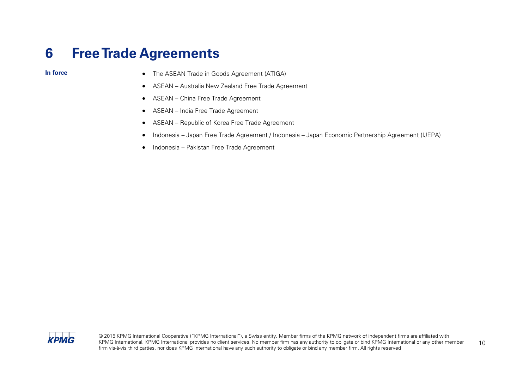### <span id="page-11-0"></span>**6 Free Trade Agreements**

- **In force** The ASEAN Trade in Goods Agreement (ATIGA)
	- ASEAN Australia New Zealand Free Trade Agreement
	- ASEAN China Free Trade Agreement
	- ASEAN India Free Trade Agreement
	- ASEAN Republic of Korea Free Trade Agreement
	- Indonesia Japan Free Trade Agreement / Indonesia Japan Economic Partnership Agreement (IJEPA)
	- Indonesia Pakistan Free Trade Agreement

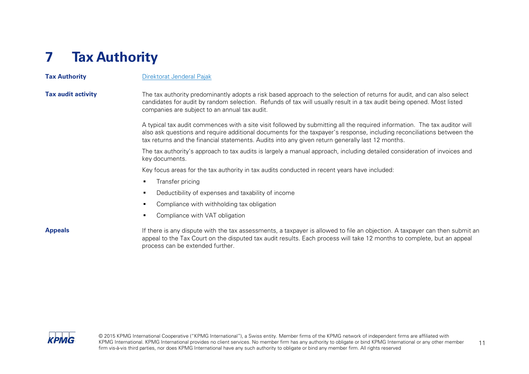## <span id="page-12-0"></span>**7 Tax Authority**

**Tax Authority [Direktorat Jenderal Pajak](http://www.pajak.go.id/)** 

**Tax audit activity** The tax authority predominantly adopts a risk based approach to the selection of returns for audit, and can also select candidates for audit by random selection. Refunds of tax will usually result in a tax audit being opened. Most listed companies are subject to an annual tax audit.

> A typical tax audit commences with a site visit followed by submitting all the required information. The tax auditor will also ask questions and require additional documents for the taxpayer's response, including reconciliations between the tax returns and the financial statements. Audits into any given return generally last 12 months.

> The tax authority's approach to tax audits is largely a manual approach, including detailed consideration of invoices and key documents.

Key focus areas for the tax authority in tax audits conducted in recent years have included:

- **Transfer pricing**
- **Deductibility of expenses and taxability of income**
- **Compliance with withholding tax obligation**
- **•** Compliance with VAT obligation

**Appeals** If there is any dispute with the tax assessments, a taxpayer is allowed to file an objection. A taxpayer can then submit an appeal to the Tax Court on the disputed tax audit results. Each process will take 12 months to complete, but an appeal process can be extended further.